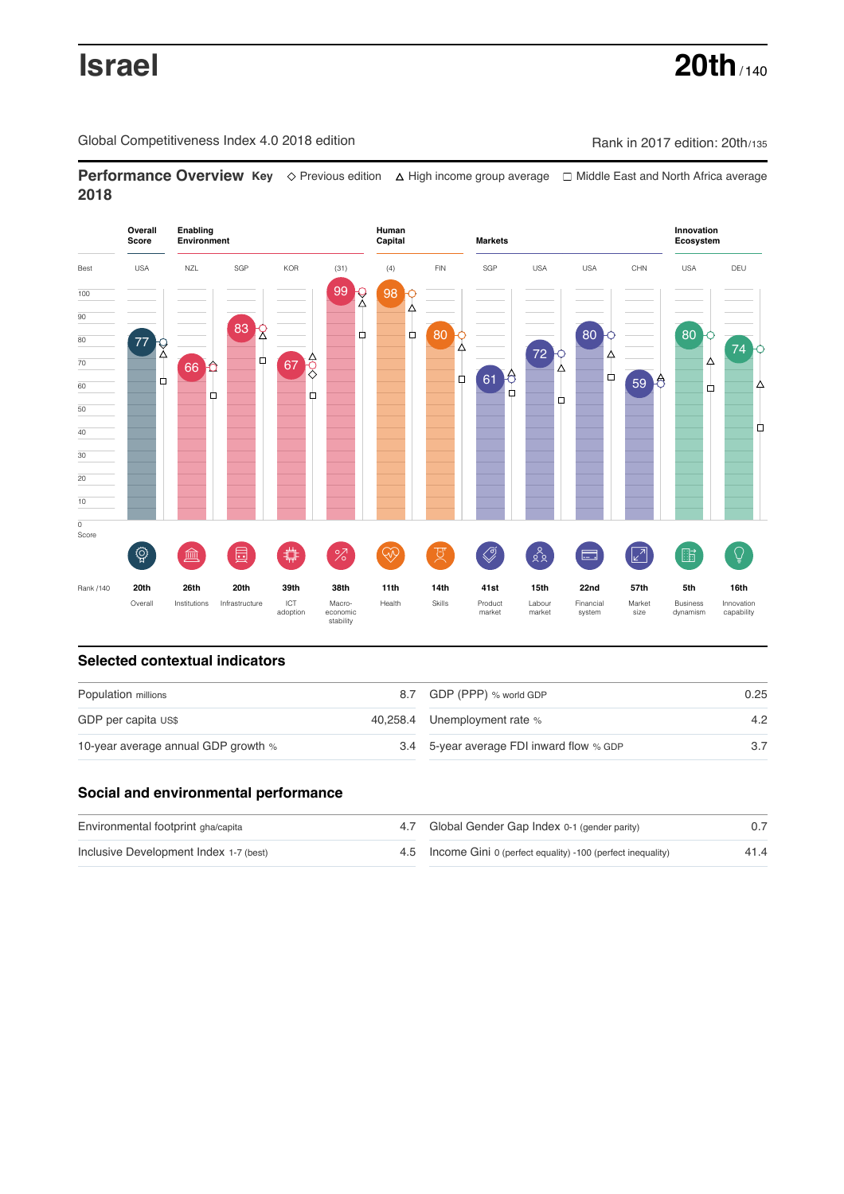# **Israel 20th** / 140

Global Competitiveness Index 4.0 2018 edition Company Rank in 2017 edition: 20th/135

**Performance Overview Key** Previous edition High income group average Middle East and North Africa average **2018**



# **Selected contextual indicators**

| Population millions                 |  | 8.7 GDP (PPP) % world GDP                | 0.25 |  |
|-------------------------------------|--|------------------------------------------|------|--|
| GDP per capita US\$                 |  | 40,258.4 Unemployment rate %             | 4.2  |  |
| 10-year average annual GDP growth % |  | 3.4 5-year average FDI inward flow % GDP |      |  |

# **Social and environmental performance**

| Environmental footprint gha/capita     | 4.7 Global Gender Gap Index 0-1 (gender parity)                |      |
|----------------------------------------|----------------------------------------------------------------|------|
| Inclusive Development Index 1-7 (best) | 4.5 Income Gini 0 (perfect equality) -100 (perfect inequality) | 41.4 |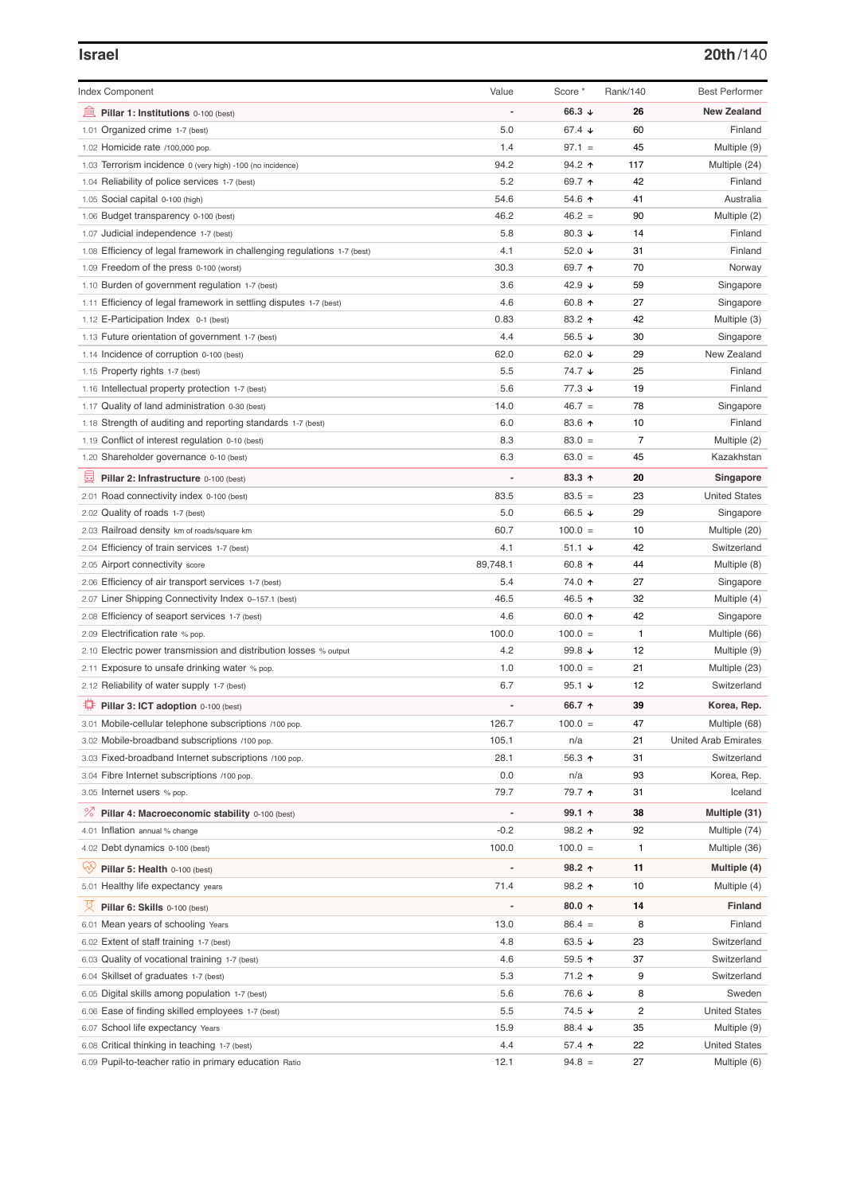## **Israel 20th**/140

| <b>Index Component</b>                                                   | Value          | Score *              | Rank/140 | <b>Best Performer</b>       |
|--------------------------------------------------------------------------|----------------|----------------------|----------|-----------------------------|
| 皿<br>Pillar 1: Institutions 0-100 (best)                                 |                | 66.3 $\sqrt{ }$      | 26       | <b>New Zealand</b>          |
| 1.01 Organized crime 1-7 (best)                                          | 5.0            | 67.4 $\sqrt{ }$      | 60       | Finland                     |
| 1.02 Homicide rate /100,000 pop.                                         | 1.4            | $97.1 =$             | 45       | Multiple (9)                |
| 1.03 Terrorism incidence 0 (very high) -100 (no incidence)               | 94.2           | $94.2$ ↑             | 117      | Multiple (24)               |
| 1.04 Reliability of police services 1-7 (best)                           | 5.2            | 69.7 ↑               | 42       | Finland                     |
| 1.05 Social capital 0-100 (high)                                         | 54.6           | 54.6 ↑               | 41       | Australia                   |
| 1.06 Budget transparency 0-100 (best)                                    | 46.2           | $46.2 =$             | 90       | Multiple (2)                |
| 1.07 Judicial independence 1-7 (best)                                    | 5.8            | 80.3 $\sqrt{ }$      | 14       | Finland                     |
| 1.08 Efficiency of legal framework in challenging regulations 1-7 (best) | 4.1            | 52.0 $\sqrt{ }$      | 31       | Finland                     |
| 1.09 Freedom of the press 0-100 (worst)                                  | 30.3           | 69.7 ↑               | 70       | Norway                      |
| 1.10 Burden of government regulation 1-7 (best)                          | 3.6            | 42.9 ↓               | 59       | Singapore                   |
| 1.11 Efficiency of legal framework in settling disputes 1-7 (best)       | 4.6            | 60.8 $\uparrow$      | 27       | Singapore                   |
| 1.12 E-Participation Index 0-1 (best)                                    | 0.83           | 83.2 ↑               | 42       | Multiple (3)                |
| 1.13 Future orientation of government 1-7 (best)                         | 4.4            | 56.5 $\sqrt{ }$      | 30       | Singapore                   |
| 1.14 Incidence of corruption 0-100 (best)                                | 62.0           | 62.0 $\sqrt{ }$      | 29       | New Zealand                 |
| 1.15 Property rights 1-7 (best)                                          | 5.5            | 74.7 ↓               | 25       | Finland                     |
| 1.16 Intellectual property protection 1-7 (best)                         | 5.6            | $77.3 \; \downarrow$ | 19       | Finland                     |
| 1.17 Quality of land administration 0-30 (best)                          | 14.0           | $46.7 =$             | 78       | Singapore                   |
| 1.18 Strength of auditing and reporting standards 1-7 (best)             | 6.0            | 83.6 个               | 10       | Finland                     |
| 1.19 Conflict of interest regulation 0-10 (best)                         | 8.3            | $83.0 =$             | 7        | Multiple (2)                |
| 1.20 Shareholder governance 0-10 (best)                                  | 6.3            | $63.0 =$             | 45       | Kazakhstan                  |
| 曼<br>Pillar 2: Infrastructure 0-100 (best)                               |                | 83.3 ↑               | 20       | Singapore                   |
|                                                                          |                |                      |          |                             |
| 2.01 Road connectivity index 0-100 (best)                                | 83.5           | $83.5 =$             | 23       | <b>United States</b>        |
| 2.02 Quality of roads 1-7 (best)                                         | 5.0            | 66.5 $\sqrt{ }$      | 29       | Singapore                   |
| 2.03 Railroad density km of roads/square km                              | 60.7           | $100.0 =$            | 10       | Multiple (20)               |
| 2.04 Efficiency of train services 1-7 (best)                             | 4.1            | $51.1 +$             | 42       | Switzerland                 |
| 2.05 Airport connectivity score                                          | 89,748.1       | 60.8 $\uparrow$      | 44       | Multiple (8)                |
| 2.06 Efficiency of air transport services 1-7 (best)                     | 5.4            | 74.0 ተ               | 27       | Singapore                   |
| 2.07 Liner Shipping Connectivity Index 0-157.1 (best)                    | 46.5           | 46.5 ↑               | 32       | Multiple (4)                |
| 2.08 Efficiency of seaport services 1-7 (best)                           | 4.6            | 60.0 $\uparrow$      | 42       | Singapore                   |
| 2.09 Electrification rate % pop.                                         | 100.0          | $100.0 =$            | 1        | Multiple (66)               |
| 2.10 Electric power transmission and distribution losses % output        | 4.2            | 99.8 $\sqrt{ }$      | 12       | Multiple (9)                |
| 2.11 Exposure to unsafe drinking water % pop.                            | 1.0            | $100.0 =$            | 21       | Multiple (23)               |
| 2.12 Reliability of water supply 1-7 (best)                              | 6.7            | 95.1 $\sqrt{ }$      | 12       | Switzerland                 |
| ₽<br>Pillar 3: ICT adoption 0-100 (best)                                 |                | 66.7 ↑               | 39       | Korea, Rep.                 |
| 3.01 Mobile-cellular telephone subscriptions /100 pop.                   | 126.7          | $100.0 =$            | 47       | Multiple (68)               |
| 3.02 Mobile-broadband subscriptions /100 pop.                            | 105.1          | n/a                  | 21       | <b>United Arab Emirates</b> |
| 3.03 Fixed-broadband Internet subscriptions /100 pop.                    | 28.1           | 56.3 ↑               | 31       | Switzerland                 |
| 3.04 Fibre Internet subscriptions /100 pop.                              | 0.0            | n/a                  | 93       | Korea, Rep.                 |
| 3.05 Internet users % pop.                                               | 79.7           | 79.7 ↑               | 31       | Iceland                     |
| <sup>%</sup> Pillar 4: Macroeconomic stability 0-100 (best)              | $\overline{a}$ | 99.1 个               | 38       | Multiple (31)               |
| 4.01 Inflation annual % change                                           | $-0.2$         | 98.2 ↑               | 92       | Multiple (74)               |
| 4.02 Debt dynamics 0-100 (best)                                          | 100.0          | $100.0 =$            | 1        | Multiple (36)               |
| Qiy<br>Pillar 5: Health 0-100 (best)                                     |                | 98.2 ↑               | 11       | Multiple (4)                |
| 5.01 Healthy life expectancy years                                       | 71.4           | 98.2 ↑               | 10       | Multiple (4)                |
|                                                                          |                |                      |          |                             |
| 성<br>Pillar 6: Skills 0-100 (best)                                       |                | 80.0 $\uparrow$      | 14       | <b>Finland</b>              |
| 6.01 Mean years of schooling Years                                       | 13.0           | $86.4 =$             | 8        | Finland                     |
| 6.02 Extent of staff training 1-7 (best)                                 | 4.8            | 63.5 $\sqrt{ }$      | 23       | Switzerland                 |
| 6.03 Quality of vocational training 1-7 (best)                           | 4.6            | 59.5 $\uparrow$      | 37       | Switzerland                 |
| 6.04 Skillset of graduates 1-7 (best)                                    | 5.3            | 71.2 ↑               | 9        | Switzerland                 |
| 6.05 Digital skills among population 1-7 (best)                          | 5.6            | 76.6 ↓               | 8        | Sweden                      |
| 6.06 Ease of finding skilled employees 1-7 (best)                        | 5.5            | 74.5 ↓               | 2        | <b>United States</b>        |
| 6.07 School life expectancy Years                                        | 15.9           | 88.4 ↓               | 35       | Multiple (9)                |
| 6.08 Critical thinking in teaching 1-7 (best)                            | 4.4            | 57.4 $\uparrow$      | 22       | <b>United States</b>        |
| 6.09 Pupil-to-teacher ratio in primary education Ratio                   | 12.1           | $94.8 =$             | 27       | Multiple (6)                |